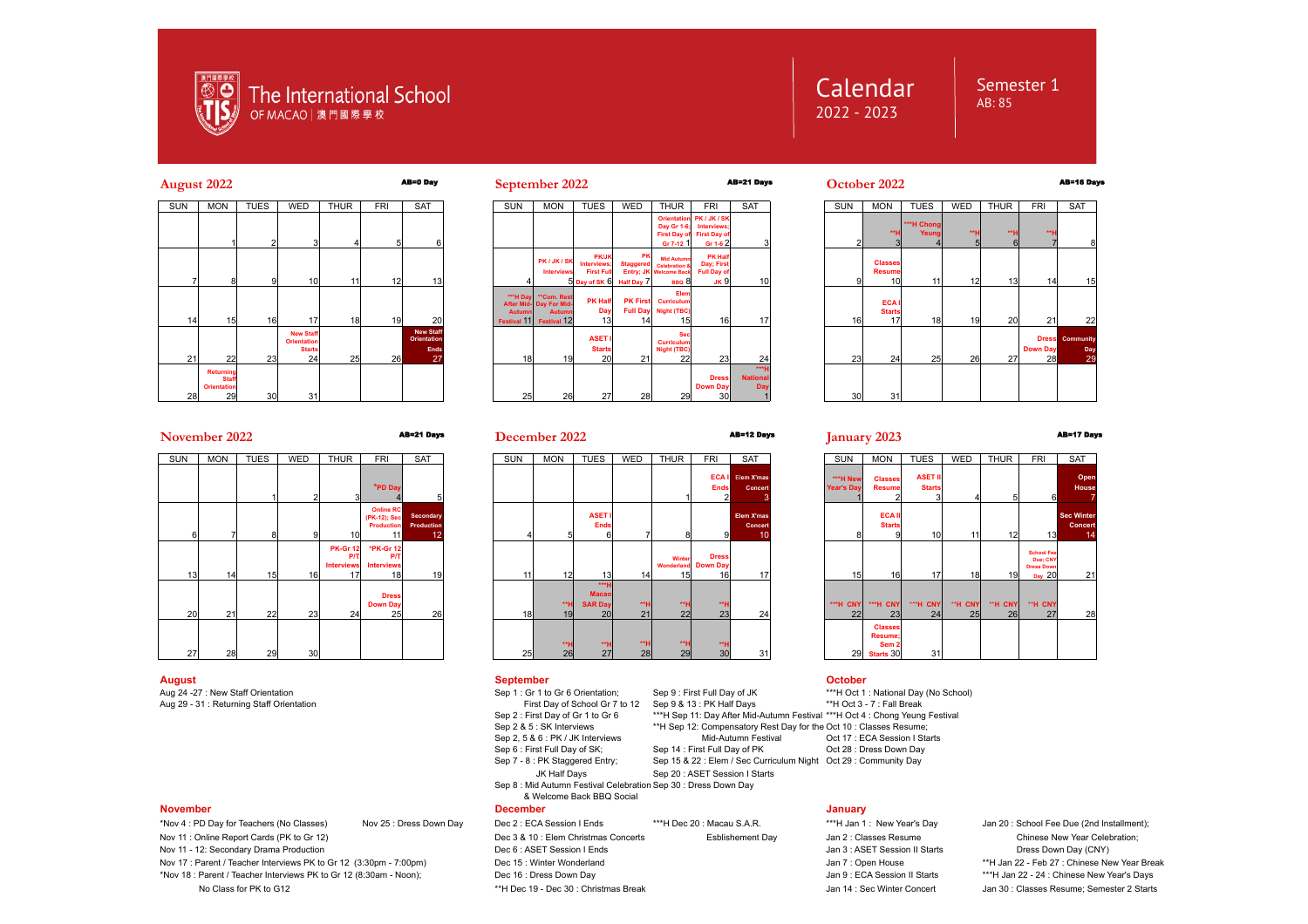

# **Calendar** 2022 - 2023

# Semester 1 AB: 85

# **August 2022** AB=0 Day **September 2022** AB=21 Days **October 2022** AB=16 Days





 $20$   $2$ 

**Dress Down Day** 30

**\*\*\*H National Day** 



# **November 2022** AB=21 Days AB=12 Days **January 2023** AB=17 Days

| SUN | SAT                           | <b>FRI</b>                                           | <b>THUR</b>                                       | WED             | <b>TUES</b> | <b>MON</b> | <b>SUN</b> |
|-----|-------------------------------|------------------------------------------------------|---------------------------------------------------|-----------------|-------------|------------|------------|
|     | 5                             | *PD Day<br>4                                         | 3                                                 | $\overline{2}$  |             |            |            |
| 4   | Secondary<br>Production<br>12 | <b>Online RC</b><br>(PK-12); Sec<br>Production<br>11 | 10                                                | 9               | 8           | 7          | 6          |
| 11  | 19                            | *PK-Gr 12<br><b>P/T</b><br><b>Interviews</b><br>18   | <b>PK-Gr 12</b><br>P/T<br><b>Interviews</b><br>17 | 16              | 15          | 14         | 13         |
| 18  | 26                            | <b>Dress</b><br><b>Down Day</b><br>25                | 24                                                | 23              | 22          | 21         | 20         |
| 25  |                               |                                                      |                                                   | 30 <sub>l</sub> | 29          | 28         | 27         |

## **August September October**

First Day of School Gr 7 to 12 Sep 9 & 13 : PK Half Days<br>Sep 2 : First Day of Gr 1 to Gr 6 \*\*\*H Sep 11: Day After Mid-Sep 6 : First Full Day of SK; Sep 14 : First Full Day of PK<br>Sep 7 - 8 : PK Staggered Entry; Sep 15 & 22 : Elem / Sec Cur JK Half Days Sep 20: ASET Session I Starts Sep 8 : Mid Autumn Festival Celebration Sep 30 : Dress Down Day

& Welcome Back BBQ Social

No Class for PK to G12 **http://www.frageleauter.com/2 Starts for Manual Accord** Man 14 : Sec Winter Concert Jan 30 : Classes Resume: Semester 2 Starts

|                             | <b>SAT</b>                                | <b>SUN</b>                    | <b>MON</b>                                                 | <b>TUES</b>                          | <b>WED</b>    | <b>THUR</b>   | <b>FRI</b>                                                   | <b>SAT</b>                                |
|-----------------------------|-------------------------------------------|-------------------------------|------------------------------------------------------------|--------------------------------------|---------------|---------------|--------------------------------------------------------------|-------------------------------------------|
| ΆI<br>ıds<br>$\overline{2}$ | Elem X'mas<br>Concert<br>3                | ***H New<br><b>Year's Day</b> | <b>Classes</b><br><b>Resume</b>                            | <b>ASET II</b><br><b>Starts</b><br>3 | 4             | 5             | 6                                                            | Open<br><b>House</b>                      |
| 9                           | <b>Elem X'mas</b><br><b>Concert</b><br>10 | 8                             | <b>ECAII</b><br><b>Starts</b><br>9                         | 10                                   | 11            | 12            | 13                                                           | <b>Sec Winter</b><br><b>Concert</b><br>14 |
| 9SS<br>)ay<br>16            | 17                                        | 15                            | 16                                                         | 17                                   | 18            | 19            | <b>School Fee</b><br>Due: CNY<br><b>Dress Down</b><br>Day 20 | 21                                        |
| ٠.н<br>23                   | 24                                        | ***H CNY<br>22                | ***H CNY<br>23                                             | ***H CNY<br>24                       | **H CNY<br>25 | **H CNY<br>26 | "H CNY<br>27                                                 | 28                                        |
| ٠.н<br>30 <sub>l</sub>      | 31                                        | 29                            | <b>Classes</b><br>Resume;<br>Sem <sub>2</sub><br>Starts 30 | 31                                   |               |               |                                                              |                                           |

Aug 24 -27 : New Staff Orientation Sep 1 : Gr 1 to Gr 6 Orientation; Sep 9 : First Full Day of JK \*\*\*H Oct 1 : National Day (No School)<br>Aug 29 - 31 : Returning Staff Orientation Chemical Company of School Gr 7 to 12 Sep 9 Sep 2 : First Day of Gr 1 to Gr 6 \*\*\*H Sep 11: Day After Mid-Autumn Festival \*\*\*H Oct 4 : Chong Yeung Festival<br>Sep 2 & 5 : SK Interviews \*\*\*H Sep 12: Compensatory Rest Day for the Oct 10 : Classes Resume: <sup>\*\*</sup>H Sep 12: Compensatory Rest Day for the Oct 10 : Classes Resume;<br>Mid-Autumn Festival<br>Oct 17 : ECA Session I Starts Sep 2, 5 & 6 : PK / JK Interviews Mid-Autumn Festival Oct 17 : ECA Session I St<br>
Sep 6 : First Full Dav of SK: Sep 14 : First Full Dav of PK Oct 28 : Dress Down Dav Sep 15 & 22 : Elem / Sec Curriculum Night Oct 29 : Community Day

### **November December January**

- \*Nov 4 : PD Day for Teachers (No Classes) Nov 25 : Dress Down Day Dec 2 : ECA Session I Ends \*\*\*H Dec 20 : Macau S.A.R. \*\*\*H Jan 1 : New Year's Day Jan 20 : School Fee Due (2nd Installment); Nov 11 : Online Report Cards (PK to Gr 12) **Dec 3 & 10** : Elem Christmas Concerts Esblishement Day Jan 2 : Classes Resume Chinese New Year Celebration; Nov 11 - 12: Secondary Drama Production **Deciment Construction** Dec 6 : ASET Session I Ends Jan 3 : ASET Session I Starts Dress Down Day (CNY)
- Nov 17 : Parent / Teacher Interviews PK to Gr 12 (3:30pm 7:00pm) Dec 15 : Winter Wonderland Jan 7 : Open House \*\*H Jan 22 Feb 27 : Chinese New Year Break
- \*Nov 18 : Parent / Teacher Interviews PK to Gr 12 (8:30am Noon); Dec 16 : Dress Down Day Jan 9 : ECA Session II Starts \*\*\*H Jan 22 24 : Chinese New Year's Days